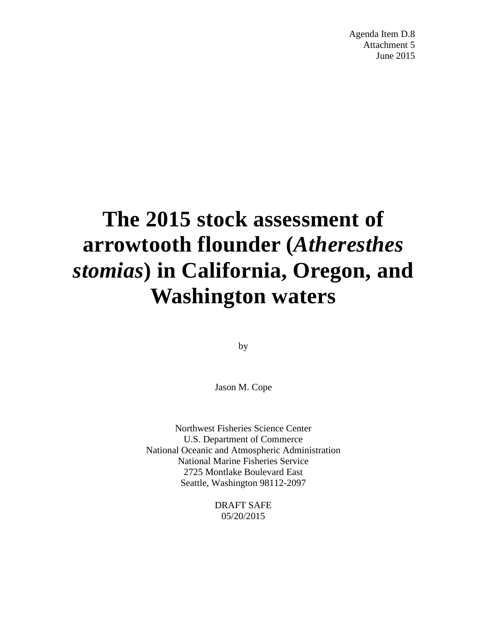Agenda Item D.8 Attachment 5 June 2015

# **The 2015 stock assessment of arrowtooth flounder (***Atheresthes stomias***) in California, Oregon, and Washington waters**

by

Jason M. Cope

Northwest Fisheries Science Center U.S. Department of Commerce National Oceanic and Atmospheric Administration National Marine Fisheries Service 2725 Montlake Boulevard East Seattle, Washington 98112-2097

> DRAFT SAFE 05/20/2015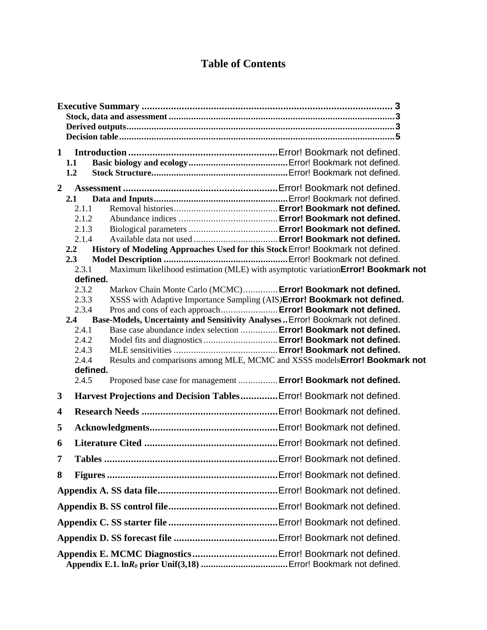## **Table of Contents**

| $\mathbf{1}$                                              |                  |                                                                                                                                          |  |  |  |  |  |  |  |  |
|-----------------------------------------------------------|------------------|------------------------------------------------------------------------------------------------------------------------------------------|--|--|--|--|--|--|--|--|
|                                                           | 1.1              |                                                                                                                                          |  |  |  |  |  |  |  |  |
|                                                           | 1.2              |                                                                                                                                          |  |  |  |  |  |  |  |  |
| $\overline{2}$                                            |                  |                                                                                                                                          |  |  |  |  |  |  |  |  |
|                                                           | 2.1              |                                                                                                                                          |  |  |  |  |  |  |  |  |
|                                                           | 2.1.1<br>2.1.2   |                                                                                                                                          |  |  |  |  |  |  |  |  |
|                                                           | 2.1.3            |                                                                                                                                          |  |  |  |  |  |  |  |  |
|                                                           | 2.1.4            |                                                                                                                                          |  |  |  |  |  |  |  |  |
|                                                           | $2.2^{\circ}$    | History of Modeling Approaches Used for this Stock Error! Bookmark not defined.                                                          |  |  |  |  |  |  |  |  |
|                                                           | 2.3              |                                                                                                                                          |  |  |  |  |  |  |  |  |
|                                                           | 2.3.1            | Maximum likelihood estimation (MLE) with asymptotic variationError! Bookmark not                                                         |  |  |  |  |  |  |  |  |
|                                                           |                  | defined.                                                                                                                                 |  |  |  |  |  |  |  |  |
|                                                           | 2.3.2<br>2.3.3   | Markov Chain Monte Carlo (MCMC) Error! Bookmark not defined.<br>XSSS with Adaptive Importance Sampling (AIS)Error! Bookmark not defined. |  |  |  |  |  |  |  |  |
|                                                           | 2.3.4            | Pros and cons of each approach Error! Bookmark not defined.                                                                              |  |  |  |  |  |  |  |  |
|                                                           | $2.4\phantom{0}$ | Base-Models, Uncertainty and Sensitivity Analyses  Error! Bookmark not defined.                                                          |  |  |  |  |  |  |  |  |
|                                                           | 2.4.1            | Base case abundance index selection  Error! Bookmark not defined.                                                                        |  |  |  |  |  |  |  |  |
|                                                           | 2.4.2            | Model fits and diagnostics  Error! Bookmark not defined.                                                                                 |  |  |  |  |  |  |  |  |
|                                                           | 2.4.3            |                                                                                                                                          |  |  |  |  |  |  |  |  |
|                                                           | 2.4.4            | Results and comparisons among MLE, MCMC and XSSS models Error! Bookmark not                                                              |  |  |  |  |  |  |  |  |
|                                                           | 2.4.5            | defined.<br>Proposed base case for management  Error! Bookmark not defined.                                                              |  |  |  |  |  |  |  |  |
|                                                           |                  |                                                                                                                                          |  |  |  |  |  |  |  |  |
| 3                                                         |                  | Harvest Projections and Decision Tables Error! Bookmark not defined.                                                                     |  |  |  |  |  |  |  |  |
| 4                                                         |                  |                                                                                                                                          |  |  |  |  |  |  |  |  |
| 5                                                         |                  |                                                                                                                                          |  |  |  |  |  |  |  |  |
| 6                                                         |                  |                                                                                                                                          |  |  |  |  |  |  |  |  |
| 7                                                         |                  |                                                                                                                                          |  |  |  |  |  |  |  |  |
| 8                                                         |                  |                                                                                                                                          |  |  |  |  |  |  |  |  |
|                                                           |                  |                                                                                                                                          |  |  |  |  |  |  |  |  |
|                                                           |                  |                                                                                                                                          |  |  |  |  |  |  |  |  |
|                                                           |                  |                                                                                                                                          |  |  |  |  |  |  |  |  |
|                                                           |                  |                                                                                                                                          |  |  |  |  |  |  |  |  |
| Appendix E. MCMC Diagnostics Error! Bookmark not defined. |                  |                                                                                                                                          |  |  |  |  |  |  |  |  |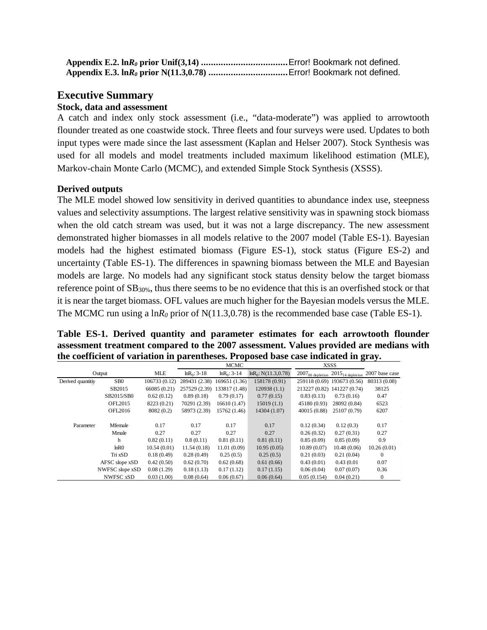### <span id="page-2-0"></span>**Executive Summary**

#### <span id="page-2-1"></span>**Stock, data and assessment**

A catch and index only stock assessment (i.e., "data-moderate") was applied to arrowtooth flounder treated as one coastwide stock. Three fleets and four surveys were used. Updates to both input types were made since the last assessment (Kaplan and Helser 2007). Stock Synthesis was used for all models and model treatments included maximum likelihood estimation (MLE), Markov-chain Monte Carlo (MCMC), and extended Simple Stock Synthesis (XSSS).

#### <span id="page-2-2"></span>**Derived outputs**

The MLE model showed low sensitivity in derived quantities to abundance index use, steepness values and selectivity assumptions. The largest relative sensitivity was in spawning stock biomass when the old catch stream was used, but it was not a large discrepancy. The new assessment demonstrated higher biomasses in all models relative to the 2007 model (Table ES-1). Bayesian models had the highest estimated biomass (Figure ES-1), stock status (Figure ES-2) and uncertainty (Table ES-1). The differences in spawning biomass between the MLE and Bayesian models are large. No models had any significant stock status density below the target biomass reference point of SB30%, thus there seems to be no evidence that this is an overfished stock or that it is near the target biomass. OFL values are much higher for the Bayesian models versus the MLE. The MCMC run using a  $\ln R_0$  prior of N(11.3,0.78) is the recommended base case (Table ES-1).

**Table ES-1. Derived quantity and parameter estimates for each arrowtooth flounder assessment treatment compared to the 2007 assessment. Values provided are medians with the coefficient of variation in parentheses. Proposed base case indicated in gray.**

|                   |                   |               | <b>MCMC</b>     |                 |                         | <b>XSSS</b>                   |                               |                |
|-------------------|-------------------|---------------|-----------------|-----------------|-------------------------|-------------------------------|-------------------------------|----------------|
|                   | Output            | <b>MLE</b>    | $ln R_0$ : 3-18 | $ln R_0$ : 3-14 | $ln R_0$ : N(11.3,0.78) | $2007_{06 \text{ depletion}}$ | $2015_{14 \text{ depletion}}$ | 2007 base case |
| Derived quantitiy | SB <sub>0</sub>   | 106733 (0.12) | 289431 (2.38)   | 169651 (1.36)   | 158178 (0.91)           |                               | 259118 (0.69) 193673 (0.56)   | 80313 (0.08)   |
|                   | SB2015            | 66085 (0.21)  | 257529 (2.39)   | 133817 (1.48)   | 120938(1.1)             |                               | 213227 (0.82) 141227 (0.74)   | 38125          |
|                   | SB2015/SB0        | 0.62(0.12)    | 0.89(0.18)      | 0.79(0.17)      | 0.77(0.15)              | 0.83(0.13)                    | 0.73(0.16)                    | 0.47           |
|                   | <b>OFL2015</b>    | 8223 (0.21)   | 70291 (2.39)    | 16610 (1.47)    | 15019(1.1)              | 45180 (0.93)                  | 28092 (0.84)                  | 6523           |
|                   | OFL2016           | 8082 (0.2)    | 58973 (2.39)    | 15762 (1.46)    | 14304 (1.07)            | 40015 (0.88)                  | 25107 (0.79)                  | 6207           |
|                   |                   |               |                 |                 |                         |                               |                               |                |
| Parameter         | Mfemale           | 0.17          | 0.17            | 0.17            | 0.17                    | 0.12(0.34)                    | 0.12(0.3)                     | 0.17           |
|                   | Mmale             | 0.27          | 0.27            | 0.27            | 0.27                    | 0.26(0.32)                    | 0.27(0.31)                    | 0.27           |
|                   | h                 | 0.82(0.11)    | 0.8(0.11)       | 0.81(0.11)      | 0.81(0.11)              | 0.85(0.09)                    | 0.85(0.09)                    | 0.9            |
|                   | ln R <sub>0</sub> | 10.54(0.01)   | 11.54(0.18)     | 11.01(0.09)     | 10.95(0.05)             | 10.89(0.07)                   | 10.48(0.06)                   | 10.26(0.01)    |
|                   | Tri xSD           | 0.18(0.49)    | 0.28(0.49)      | 0.25(0.5)       | 0.25(0.5)               | 0.21(0.03)                    | 0.21(0.04)                    | $\theta$       |
|                   | AFSC slope xSD    | 0.42(0.50)    | 0.62(0.70)      | 0.62(0.68)      | 0.61(0.66)              | 0.43(0.01)                    | 0.43(0.01)                    | 0.07           |
|                   | NWFSC slope xSD   | 0.08(1.29)    | 0.18(1.13)      | 0.17(1.12)      | 0.17(1.15)              | 0.06(0.04)                    | 0.07(0.07)                    | 0.36           |
|                   | <b>NWFSC xSD</b>  | 0.03(1.00)    | 0.08(0.64)      | 0.06(0.67)      | 0.06(0.64)              | 0.05(0.154)                   | 0.04(0.21)                    | $\theta$       |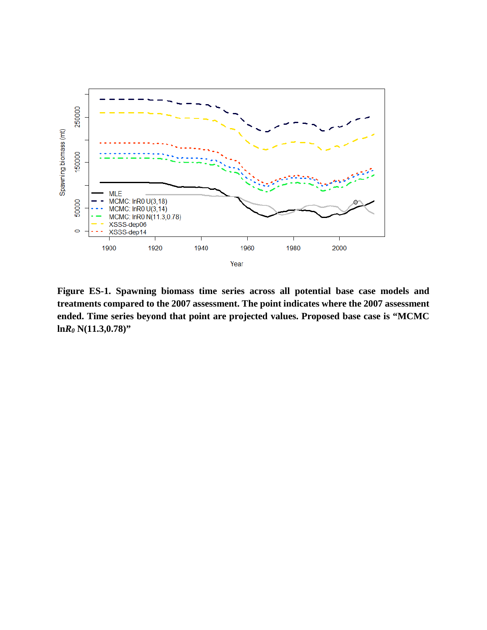

**Figure ES-1. Spawning biomass time series across all potential base case models and treatments compared to the 2007 assessment. The point indicates where the 2007 assessment ended. Time series beyond that point are projected values. Proposed base case is "MCMC ln***R0* **N(11.3,0.78)"**